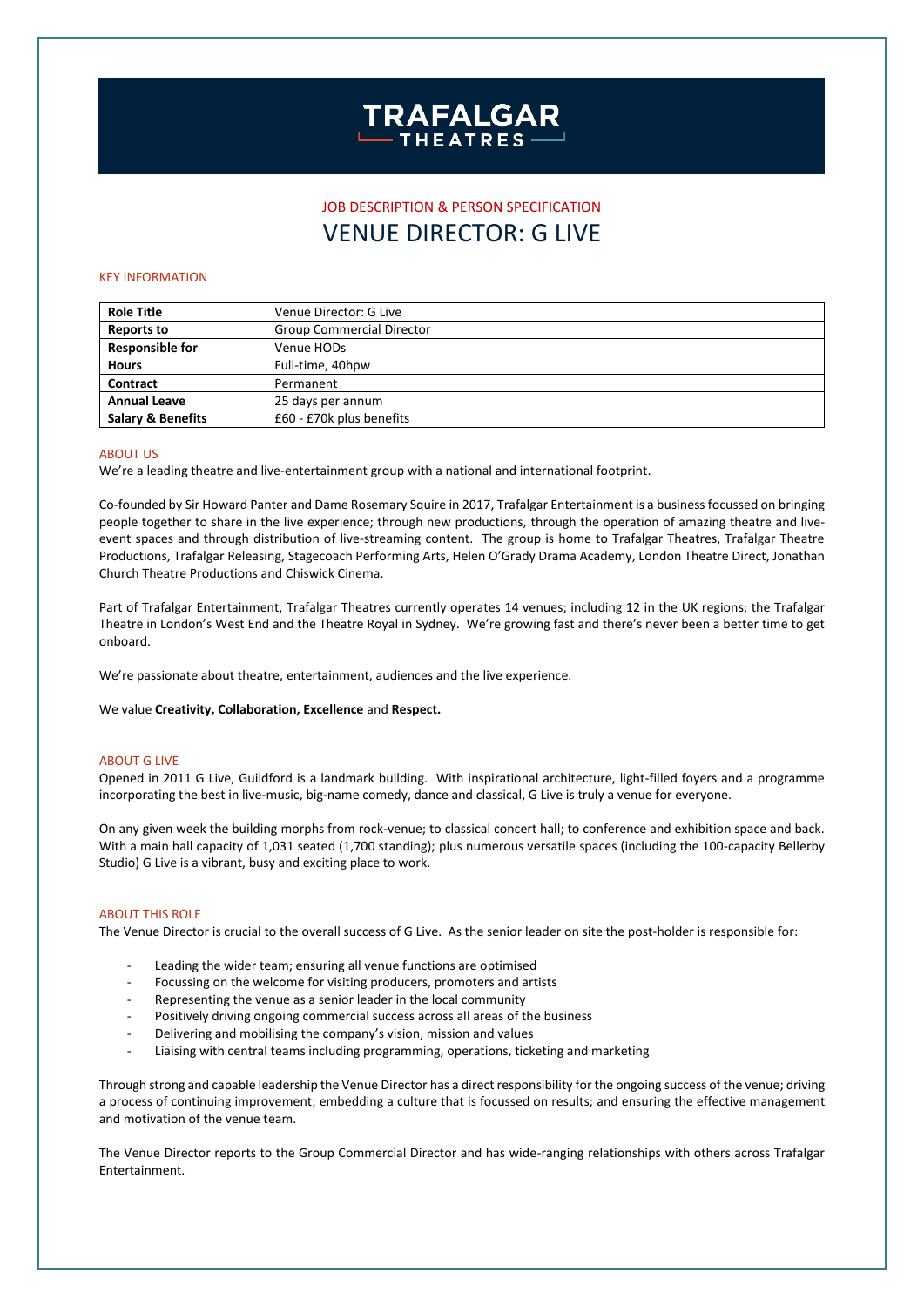# **TRAFALGAR** THEATRES-

# JOB DESCRIPTION & PERSON SPECIFICATION VENUE DIRECTOR: G LIVE

## KEY INFORMATION

| <b>Role Title</b>            | Venue Director: G Live           |
|------------------------------|----------------------------------|
| <b>Reports to</b>            | <b>Group Commercial Director</b> |
| <b>Responsible for</b>       | Venue HODs                       |
| <b>Hours</b>                 | Full-time, 40hpw                 |
| Contract                     | Permanent                        |
| <b>Annual Leave</b>          | 25 days per annum                |
| <b>Salary &amp; Benefits</b> | £60 - £70k plus benefits         |

#### ABOUT US

We're a leading theatre and live-entertainment group with a national and international footprint.

Co-founded by Sir Howard Panter and Dame Rosemary Squire in 2017, Trafalgar Entertainment is a business focussed on bringing people together to share in the live experience; through new productions, through the operation of amazing theatre and liveevent spaces and through distribution of live-streaming content. The group is home to Trafalgar Theatres, Trafalgar Theatre Productions, Trafalgar Releasing, Stagecoach Performing Arts, Helen O'Grady Drama Academy, London Theatre Direct, Jonathan Church Theatre Productions and Chiswick Cinema.

Part of Trafalgar Entertainment, Trafalgar Theatres currently operates 14 venues; including 12 in the UK regions; the Trafalgar Theatre in London's West End and the Theatre Royal in Sydney. We're growing fast and there's never been a better time to get onboard.

We're passionate about theatre, entertainment, audiences and the live experience.

We value **Creativity, Collaboration, Excellence** and **Respect.**

#### ABOUT G LIVE

Opened in 2011 G Live, Guildford is a landmark building. With inspirational architecture, light-filled foyers and a programme incorporating the best in live-music, big-name comedy, dance and classical, G Live is truly a venue for everyone.

On any given week the building morphs from rock-venue; to classical concert hall; to conference and exhibition space and back. With a main hall capacity of 1,031 seated (1,700 standing); plus numerous versatile spaces (including the 100-capacity Bellerby Studio) G Live is a vibrant, busy and exciting place to work.

#### ABOUT THIS ROLE

The Venue Director is crucial to the overall success of G Live. As the senior leader on site the post-holder is responsible for:

- Leading the wider team; ensuring all venue functions are optimised
- Focussing on the welcome for visiting producers, promoters and artists
- Representing the venue as a senior leader in the local community
- Positively driving ongoing commercial success across all areas of the business
- Delivering and mobilising the company's vision, mission and values
- Liaising with central teams including programming, operations, ticketing and marketing

Through strong and capable leadership the Venue Director has a direct responsibility for the ongoing success of the venue; driving a process of continuing improvement; embedding a culture that is focussed on results; and ensuring the effective management and motivation of the venue team.

The Venue Director reports to the Group Commercial Director and has wide-ranging relationships with others across Trafalgar Entertainment.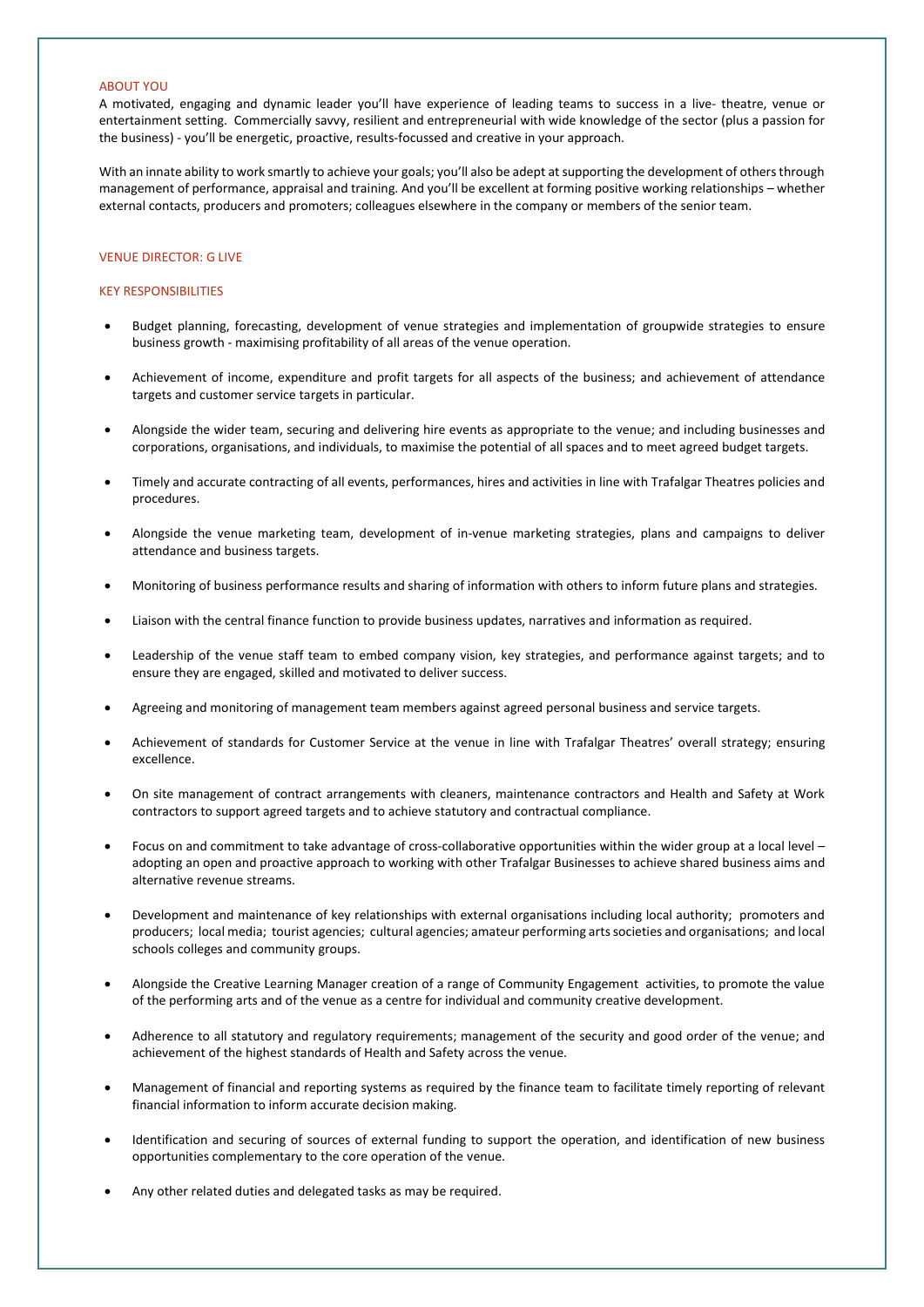#### ABOUT YOU

A motivated, engaging and dynamic leader you'll have experience of leading teams to success in a live- theatre, venue or entertainment setting. Commercially savvy, resilient and entrepreneurial with wide knowledge of the sector (plus a passion for the business) - you'll be energetic, proactive, results-focussed and creative in your approach.

With an innate ability to work smartly to achieve your goals; you'll also be adept at supporting the development of others through management of performance, appraisal and training. And you'll be excellent at forming positive working relationships – whether external contacts, producers and promoters; colleagues elsewhere in the company or members of the senior team.

### VENUE DIRECTOR: G LIVE

#### KEY RESPONSIBILITIES

- Budget planning, forecasting, development of venue strategies and implementation of groupwide strategies to ensure business growth - maximising profitability of all areas of the venue operation.
- Achievement of income, expenditure and profit targets for all aspects of the business; and achievement of attendance targets and customer service targets in particular.
- Alongside the wider team, securing and delivering hire events as appropriate to the venue; and including businesses and corporations, organisations, and individuals, to maximise the potential of all spaces and to meet agreed budget targets.
- Timely and accurate contracting of all events, performances, hires and activities in line with Trafalgar Theatres policies and procedures.
- Alongside the venue marketing team, development of in-venue marketing strategies, plans and campaigns to deliver attendance and business targets.
- Monitoring of business performance results and sharing of information with others to inform future plans and strategies.
- Liaison with the central finance function to provide business updates, narratives and information as required.
- Leadership of the venue staff team to embed company vision, key strategies, and performance against targets; and to ensure they are engaged, skilled and motivated to deliver success.
- Agreeing and monitoring of management team members against agreed personal business and service targets.
- Achievement of standards for Customer Service at the venue in line with Trafalgar Theatres' overall strategy; ensuring excellence.
- On site management of contract arrangements with cleaners, maintenance contractors and Health and Safety at Work contractors to support agreed targets and to achieve statutory and contractual compliance.
- Focus on and commitment to take advantage of cross-collaborative opportunities within the wider group at a local level adopting an open and proactive approach to working with other Trafalgar Businesses to achieve shared business aims and alternative revenue streams.
- Development and maintenance of key relationships with external organisations including local authority; promoters and producers; local media; tourist agencies; cultural agencies; amateur performing arts societies and organisations; and local schools colleges and community groups.
- Alongside the Creative Learning Manager creation of a range of Community Engagement activities, to promote the value of the performing arts and of the venue as a centre for individual and community creative development.
- Adherence to all statutory and regulatory requirements; management of the security and good order of the venue; and achievement of the highest standards of Health and Safety across the venue.
- Management of financial and reporting systems as required by the finance team to facilitate timely reporting of relevant financial information to inform accurate decision making.
- Identification and securing of sources of external funding to support the operation, and identification of new business opportunities complementary to the core operation of the venue.
- Any other related duties and delegated tasks as may be required.